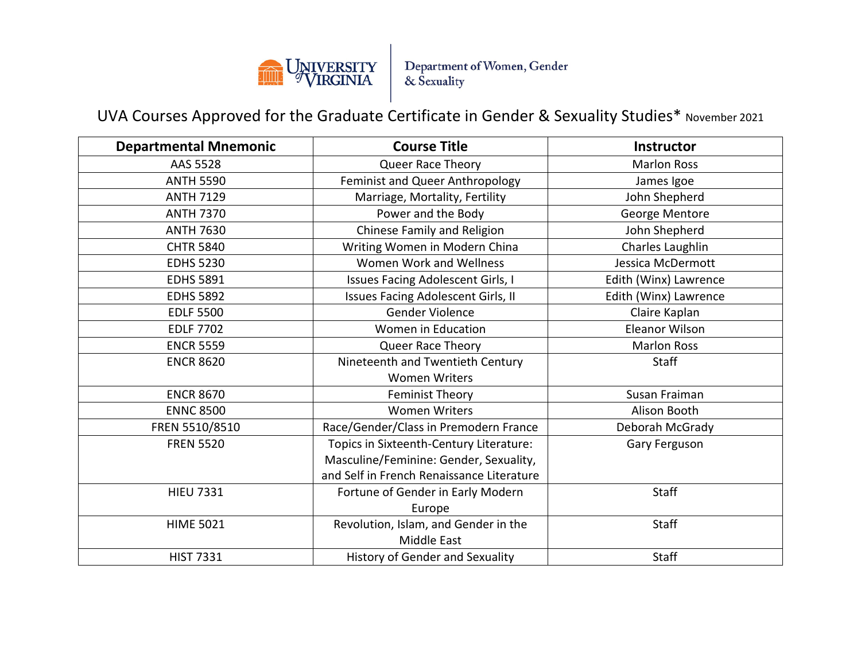

Department of Women, Gender<br>& Sexuality

UVA Courses Approved for the Graduate Certificate in Gender & Sexuality Studies\* November 2021

| <b>Departmental Mnemonic</b> | <b>Course Title</b>                       | <b>Instructor</b>     |
|------------------------------|-------------------------------------------|-----------------------|
| AAS 5528                     | Queer Race Theory                         | <b>Marlon Ross</b>    |
| <b>ANTH 5590</b>             | Feminist and Queer Anthropology           | James Igoe            |
| <b>ANTH 7129</b>             | Marriage, Mortality, Fertility            | John Shepherd         |
| <b>ANTH 7370</b>             | Power and the Body                        | George Mentore        |
| <b>ANTH 7630</b>             | Chinese Family and Religion               | John Shepherd         |
| <b>CHTR 5840</b>             | Writing Women in Modern China             | Charles Laughlin      |
| <b>EDHS 5230</b>             | Women Work and Wellness                   | Jessica McDermott     |
| <b>EDHS 5891</b>             | <b>Issues Facing Adolescent Girls, I</b>  | Edith (Winx) Lawrence |
| <b>EDHS 5892</b>             | Issues Facing Adolescent Girls, II        | Edith (Winx) Lawrence |
| <b>EDLF 5500</b>             | <b>Gender Violence</b>                    | Claire Kaplan         |
| <b>EDLF 7702</b>             | Women in Education                        | Eleanor Wilson        |
| <b>ENCR 5559</b>             | Queer Race Theory                         | <b>Marlon Ross</b>    |
| <b>ENCR 8620</b>             | Nineteenth and Twentieth Century          | <b>Staff</b>          |
|                              | <b>Women Writers</b>                      |                       |
| <b>ENCR 8670</b>             | <b>Feminist Theory</b>                    | Susan Fraiman         |
| <b>ENNC 8500</b>             | <b>Women Writers</b>                      | Alison Booth          |
| FREN 5510/8510               | Race/Gender/Class in Premodern France     | Deborah McGrady       |
| <b>FREN 5520</b>             | Topics in Sixteenth-Century Literature:   | Gary Ferguson         |
|                              | Masculine/Feminine: Gender, Sexuality,    |                       |
|                              | and Self in French Renaissance Literature |                       |
| <b>HIEU 7331</b>             | Fortune of Gender in Early Modern         | <b>Staff</b>          |
|                              | Europe                                    |                       |
| <b>HIME 5021</b>             | Revolution, Islam, and Gender in the      | Staff                 |
|                              | <b>Middle East</b>                        |                       |
| <b>HIST 7331</b>             | History of Gender and Sexuality           | <b>Staff</b>          |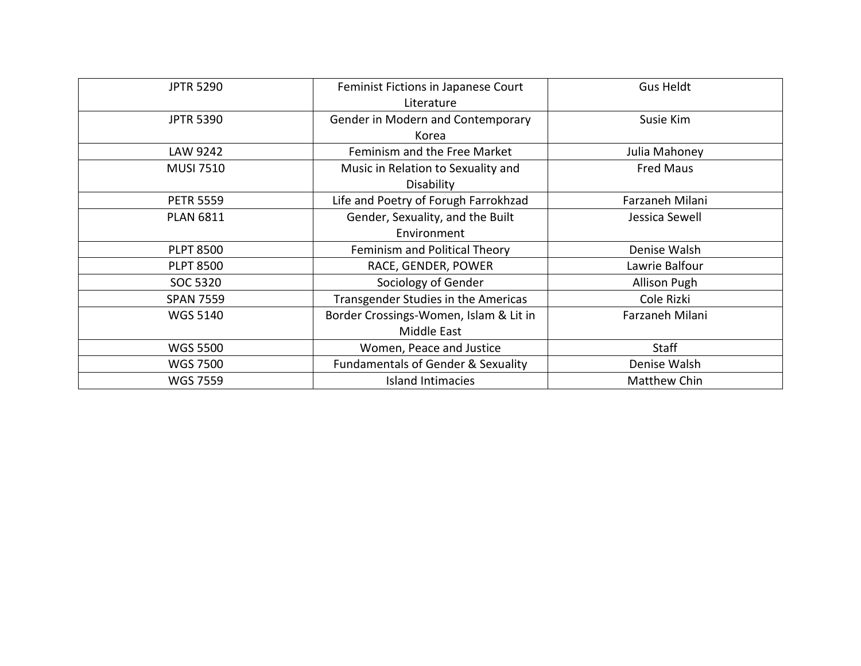| <b>JPTR 5290</b> | Feminist Fictions in Japanese Court<br>Literature            | <b>Gus Heldt</b>    |
|------------------|--------------------------------------------------------------|---------------------|
| <b>JPTR 5390</b> | Gender in Modern and Contemporary<br>Korea                   | Susie Kim           |
| LAW 9242         | Feminism and the Free Market                                 | Julia Mahoney       |
| <b>MUSI 7510</b> | Music in Relation to Sexuality and<br>Disability             | <b>Fred Maus</b>    |
| <b>PETR 5559</b> | Life and Poetry of Forugh Farrokhzad                         | Farzaneh Milani     |
| <b>PLAN 6811</b> | Gender, Sexuality, and the Built<br>Environment              | Jessica Sewell      |
| <b>PLPT 8500</b> | Feminism and Political Theory                                | Denise Walsh        |
| <b>PLPT 8500</b> | RACE, GENDER, POWER                                          | Lawrie Balfour      |
| SOC 5320         | Sociology of Gender                                          | <b>Allison Pugh</b> |
| <b>SPAN 7559</b> | Transgender Studies in the Americas                          | Cole Rizki          |
| <b>WGS 5140</b>  | Border Crossings-Women, Islam & Lit in<br><b>Middle East</b> | Farzaneh Milani     |
| <b>WGS 5500</b>  | Women, Peace and Justice                                     | <b>Staff</b>        |
| <b>WGS 7500</b>  | <b>Fundamentals of Gender &amp; Sexuality</b>                | Denise Walsh        |
| <b>WGS 7559</b>  | <b>Island Intimacies</b>                                     | <b>Matthew Chin</b> |